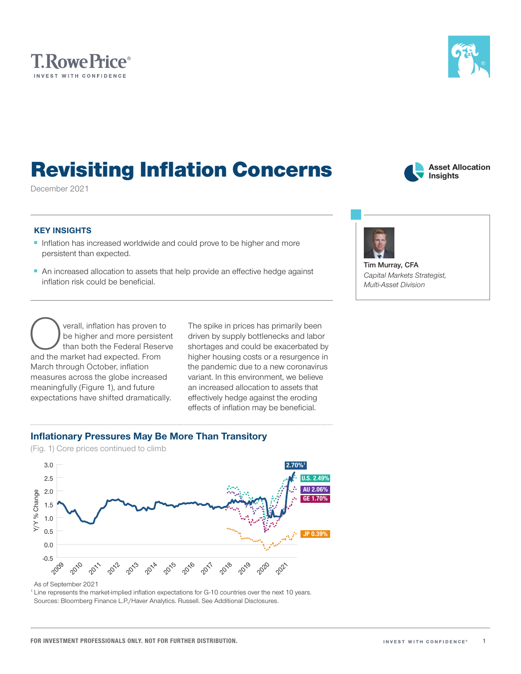



<sup>1</sup> Line represents the market-implied inflation expectations for G-10 countries over the next 10 years.

Sources: Bloomberg Finance L.P./Haver Analytics. Russell. See Additional Disclosures.

Inflationary Pressures May Be More Than Transitory

(Fig. 1) Core prices continued to climb

# KEY INSIGHTS

December 2021

- Inflation has increased worldwide and could prove to be higher and more persistent than expected.
- An increased allocation to assets that help provide an effective hedge against inflation risk could be beneficial.

Revisiting Inflation Concerns

Overall, inflation has proven to<br>
be higher and more persister<br>
than both the Federal Reserv<br>
and the market had expected. From be higher and more persistent than both the Federal Reserve March through October, inflation measures across the globe increased meaningfully (Figure 1), and future expectations have shifted dramatically.

The spike in prices has primarily been driven by supply bottlenecks and labor shortages and could be exacerbated by higher housing costs or a resurgence in the pandemic due to a new coronavirus variant. In this environment, we believe an increased allocation to assets that effectively hedge against the eroding effects of inflation may be beneficial.

**Tim Murray, CFA** *Capital Markets Strategist, Multi‑Asset Division*

**Asset Allocation Insights**



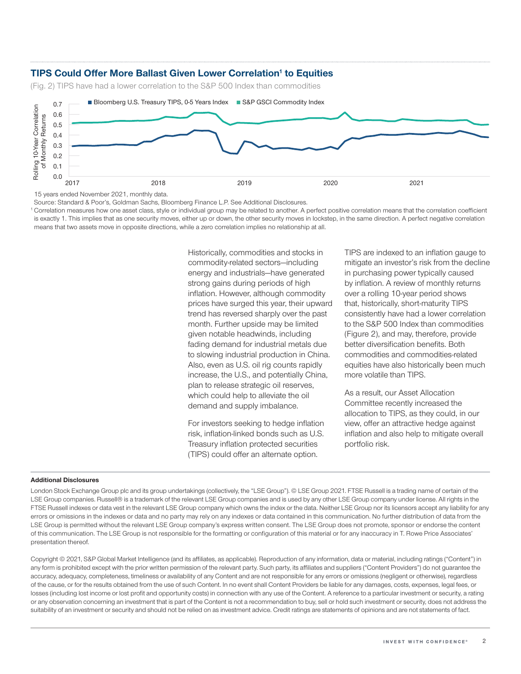# TIPS Could Offer More Ballast Given Lower Correlation<sup>1</sup> to Equities

(Fig. 2) TIPS have had a lower correlation to the S&P 500 Index than commodities



15 years ended November 2021, monthly data.

Source: Standard & Poor's, Goldman Sachs, Bloomberg Finance L.P. See Additional Disclosures.

<sup>1</sup> Correlation measures how one asset class, style or individual group may be related to another. A perfect positive correlation means that the correlation coefficient is exactly 1. This implies that as one security moves, either up or down, the other security moves in lockstep, in the same direction. A perfect negative correlation means that two assets move in opposite directions, while a zero correlation implies no relationship at all.

> Historically, commodities and stocks in commodity-related sectors—including energy and industrials—have generated strong gains during periods of high inflation. However, although commodity prices have surged this year, their upward trend has reversed sharply over the past month. Further upside may be limited given notable headwinds, including fading demand for industrial metals due to slowing industrial production in China. Also, even as U.S. oil rig counts rapidly increase, the U.S., and potentially China, plan to release strategic oil reserves, which could help to alleviate the oil demand and supply imbalance.

For investors seeking to hedge inflation risk, inflation-linked bonds such as U.S. Treasury inflation protected securities (TIPS) could offer an alternate option.

TIPS are indexed to an inflation gauge to mitigate an investor's risk from the decline in purchasing power typically caused by inflation. A review of monthly returns over a rolling 10-year period shows that, historically, short-maturity TIPS consistently have had a lower correlation to the S&P 500 Index than commodities (Figure 2), and may, therefore, provide better diversification benefits. Both commodities and commodities-related equities have also historically been much more volatile than TIPS.

As a result, our Asset Allocation Committee recently increased the allocation to TIPS, as they could, in our view, offer an attractive hedge against inflation and also help to mitigate overall portfolio risk.

### Additional Disclosures

London Stock Exchange Group plc and its group undertakings (collectively, the "LSE Group"). © LSE Group 2021. FTSE Russell is a trading name of certain of the LSE Group companies. Russell® is a trademark of the relevant LSE Group companies and is used by any other LSE Group company under license. All rights in the FTSE Russell indexes or data vest in the relevant LSE Group company which owns the index or the data. Neither LSE Group nor its licensors accept any liability for any errors or omissions in the indexes or data and no party may rely on any indexes or data contained in this communication. No further distribution of data from the LSE Group is permitted without the relevant LSE Group company's express written consent. The LSE Group does not promote, sponsor or endorse the content of this communication. The LSE Group is not responsible for the formatting or configuration of this material or for any inaccuracy in T. Rowe Price Associates' presentation thereof.

Copyright © 2021, S&P Global Market Intelligence (and its affiliates, as applicable). Reproduction of any information, data or material, including ratings ("Content") in any form is prohibited except with the prior written permission of the relevant party. Such party, its affiliates and suppliers ("Content Providers") do not guarantee the accuracy, adequacy, completeness, timeliness or availability of any Content and are not responsible for any errors or omissions (negligent or otherwise), regardless of the cause, or for the results obtained from the use of such Content. In no event shall Content Providers be liable for any damages, costs, expenses, legal fees, or losses (including lost income or lost profit and opportunity costs) in connection with any use of the Content. A reference to a particular investment or security, a rating or any observation concerning an investment that is part of the Content is not a recommendation to buy, sell or hold such investment or security, does not address the suitability of an investment or security and should not be relied on as investment advice. Credit ratings are statements of opinions and are not statements of fact.